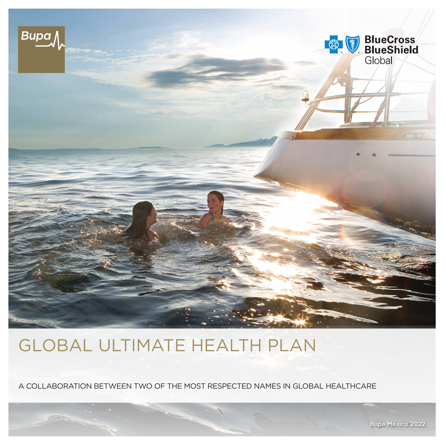

# GLOBAL ULTIMATE HEALTH PLAN

A COLLABORATION BETWEEN TWO OF THE MOST RESPECTED NAMES IN GLOBAL HEALTHCARE

Bupa México 2022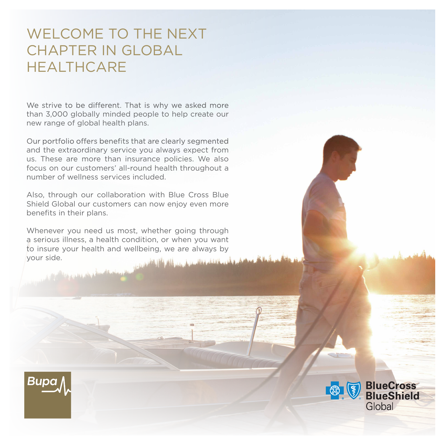## WELCOME TO THE NEXT CHAPTER IN GLOBAL **HEALTHCARE**

We strive to be different. That is why we asked more than 3,000 globally minded people to help create our new range of global health plans.

Our portfolio offers benefits that are clearly segmented and the extraordinary service you always expect from us. These are more than insurance policies. We also focus on our customers' all-round health throughout a number of wellness services included.

Also, through our collaboration with Blue Cross Blue Shield Global our customers can now enjoy even more benefits in their plans.

Whenever you need us most, whether going through a serious illness, a health condition, or when you want to insure your health and wellbeing, we are always by your side.



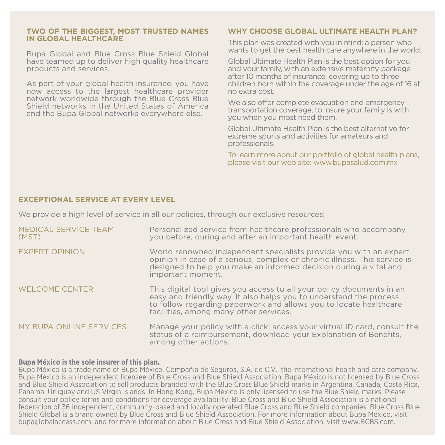#### **TWO OF THE BIGGEST, MOST TRUSTED NAMES IN GLOBAL HEALTHCARE**

Bupa Global and Blue Cross Blue Shield Global have teamed up to deliver high quality healthcare products and services.

As part of your global health insurance, you have now access to the largest healthcare provider network worldwide through the Blue Cross Blue Shield networks in the United States of America and the Bupa Global networks everywhere else.

### **WHY CHOOSE GLOBAL ULTIMATE HEALTH PLAN?**

This plan was created with you in mind: a person who wants to get the best health care anywhere in the world.

Global Ultimate Health Plan is the best option for you and your family, with an extensive maternity package after 10 months of insurance, covering up to three children born within the coverage under the age of 16 at no extra cost.

We also offer complete evacuation and emergency transportation coverage, to insure your family is with you when you most need them.

Global Ultimate Health Plan is the best alternative for extreme sports and activities for amateurs and professionals.

To learn more about our portfolio of global health plans, please visit our web site: [www.bupasalud.com.mx](http://www.bupasalud.com.mx)

#### **EXCEPTIONAL SERVICE AT EVERY LEVEL**

We provide a high level of service in all our policies, through our exclusive resources:

| MEDICAL SERVICE TEAM<br>(MST) | Personalized service from healthcare professionals who accompany<br>you before, during and after an important health event.                                                                                                                                |
|-------------------------------|------------------------------------------------------------------------------------------------------------------------------------------------------------------------------------------------------------------------------------------------------------|
| <b>EXPERT OPINION</b>         | World renowned independent specialists provide you with an expert<br>opinion in case of a serious, complex or chronic illness. This service is<br>designed to help you make an informed decision during a vital and<br>important moment.                   |
| <b>WELCOME CENTER</b>         | This digital tool gives you access to all your policy documents in an<br>easy and friendly way. It also helps you to understand the process<br>to follow regarding paperwork and allows you to locate healthcare<br>facilities, among many other services. |
| MY BUPA ONLINE SERVICES       | Manage your policy with a click; access your virtual ID card, consult the<br>status of a reimbursement, download your Explanation of Benefits,<br>among other actions.                                                                                     |

#### **Bupa México is the sole insurer of this plan.**

Bupa México is a trade name of Bupa México, Compañia de Seguros, S.A. de C.V., the international health and care company. Bupa México is an independent licensee of Blue Cross and Blue Shield Association. Bupa México is not licensed by Blue Cross and Blue Shield Association to sell products branded with the Blue Cross Blue Shield marks in Argentina, Canada, Costa Rica, Panama, Uruguay and US Virgin Islands. In Hong Kong, Bupa México is only licensed to use the Blue Shield marks. Please consult your policy terms and conditions for coverage availability. Blue Cross and Blue Shield Association is a national federation of 36 independent, community-based and locally operated Blue Cross and Blue Shield companies. Blue Cross Blue Shield Global is a brand owned by Blue Cross and Blue Shield Association. For more information about Bupa México, visit bupaglobalaccess.com, and for more information about Blue Cross and Blue Shield Association, visit [www.BCBS.com.](http://www.BCBS.com)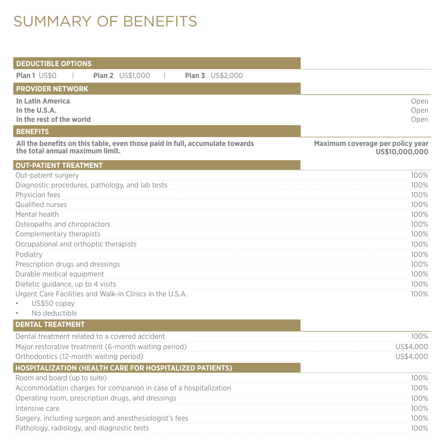## SUMMARY OF BENEFITS

| <b>DEDUCTIBLE OPTIONS</b>                                                                                      |                                                    |
|----------------------------------------------------------------------------------------------------------------|----------------------------------------------------|
| <b>Plan 1 US\$0</b><br><b>Plan 2</b> US\$1,000<br><b>Plan 3</b> US\$2,000                                      |                                                    |
| <b>PROVIDER NETWORK</b>                                                                                        |                                                    |
| <b>In Latin America</b><br>In the U.S.A.<br>In the rest of the world                                           | Open<br>Open<br>Open                               |
| <b>BENEFITS</b>                                                                                                |                                                    |
| All the benefits on this table, even those paid in full, accumulate towards<br>the total annual maximum limit. | Maximum coverage per policy year<br>US\$10,000,000 |
| <b>OUT-PATIENT TREATMENT</b>                                                                                   |                                                    |
| Out-patient surgery                                                                                            | 100%                                               |
| Diagnostic procedures, pathology, and lab tests                                                                | 100%                                               |
| Physician fees                                                                                                 | 100%                                               |
| Qualified nurses                                                                                               | 100%                                               |
| Mental health                                                                                                  | 100%                                               |
| Osteopaths and chiropractors                                                                                   | 100%                                               |
| Complementary therapists                                                                                       | 100%                                               |
| Occupational and orthoptic therapists                                                                          | 100%                                               |
| Podiatry<br>Prescription drugs and dressings                                                                   | 100%<br>100%                                       |
| Durable medical equipment                                                                                      | 100%                                               |
| Dietetic guidance, up to 4 visits                                                                              | 100%                                               |
| Urgent Care Facilities and Walk-in Clinics in the U.S.A.                                                       | 100%                                               |
| US\$50 copay                                                                                                   |                                                    |
| No deductible                                                                                                  |                                                    |
| <b>DENTAL TREATMENT</b>                                                                                        |                                                    |
| Dental treatment related to a covered accident                                                                 | 100%                                               |
| Major restorative treatment (6-month waiting period)                                                           | US\$4,000                                          |
| Orthodontics (12-month waiting period)                                                                         | US\$4,000                                          |
| <b>HOSPITALIZATION (HEALTH CARE FOR HOSPITALIZED PATIENTS)</b>                                                 |                                                    |
| Room and board (up to suite)                                                                                   | 100%                                               |
| Accommodation charges for companion in case of a hospitalization                                               | 100%                                               |
| Operating room, prescription drugs, and dressings                                                              | 100%                                               |
| Intensive care                                                                                                 | 100%                                               |
| Surgery, including surgeon and anesthesiologist's fees                                                         | 100%                                               |
| Pathology, radiology, and diagnostic tests                                                                     | 100%                                               |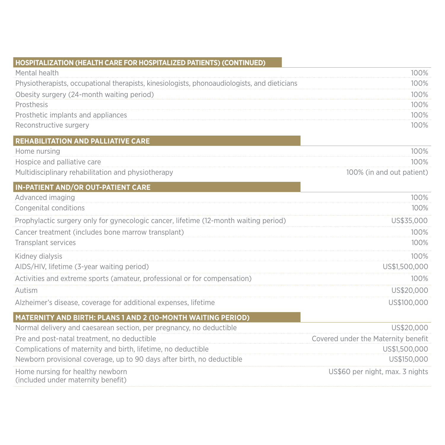## **HOSPITALIZATION (HEALTH CARE FOR HOSPITALIZED PATIENTS) (CONTINUED)**

| Mental health                                                                                | $100\%$ |
|----------------------------------------------------------------------------------------------|---------|
| Physiotherapists, occupational therapists, kinesiologists, phonoaudiologists, and dieticians | $100\%$ |
| Obesity surgery (24-month waiting period)                                                    | $100\%$ |
| Prosthesis                                                                                   | 100%    |
| Prosthetic implants and appliances                                                           | $100\%$ |
| Reconstructive surgery                                                                       | 100%    |

### **REHABILITATION AND PALLIATIVE CARE**

| Home nursing                                       | 100%                      |
|----------------------------------------------------|---------------------------|
| Hospice and palliative care                        | 100%                      |
| Multidisciplinary rehabilitation and physiotherapy | 100% (in and out patient) |

## **IN-PATIENT AND/OR OUT-PATIENT CARE**

| Advanced imaging                                                                     | 100%          |
|--------------------------------------------------------------------------------------|---------------|
| Congenital conditions                                                                | 100%          |
| Prophylactic surgery only for gynecologic cancer, lifetime (12-month waiting period) | US\$35,000    |
| Cancer treatment (includes bone marrow transplant)                                   | 100%          |
| Transplant services                                                                  | 100%          |
| Kidney dialysis                                                                      | 100%          |
| AIDS/HIV, lifetime (3-year waiting period)                                           | US\$1,500,000 |
| Activities and extreme sports (amateur, professional or for compensation)            | 100%          |
| Autism                                                                               | US\$20,000    |
| Alzheimer's disease, coverage for additional expenses, lifetime                      | US\$100,000   |

## **MATERNITY AND BIRTH: PLANS 1 AND 2 (10-MONTH WAITING PERIOD)**

| Normal delivery and caesarean section, per pregnancy, no deductible    | US\$20,000                          |
|------------------------------------------------------------------------|-------------------------------------|
| Pre and post-natal treatment, no deductible                            | Covered under the Maternity benefit |
| Complications of maternity and birth, lifetime, no deductible          | US\$1,500,000                       |
| Newborn provisional coverage, up to 90 days after birth, no deductible | US\$150,000                         |
| Home nursing for healthy newborn<br>(included under maternity benefit) | US\$60 per night, max. 3 nights     |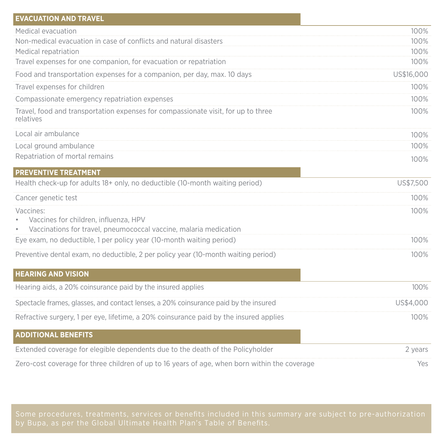| <b>EVACUATION AND TRAVEL</b>                                                                   |            |
|------------------------------------------------------------------------------------------------|------------|
| Medical evacuation                                                                             | 100%       |
| Non-medical evacuation in case of conflicts and natural disasters                              | 100%       |
| Medical repatriation                                                                           | 100%       |
| Travel expenses for one companion, for evacuation or repatriation                              | 100%       |
| Food and transportation expenses for a companion, per day, max. 10 days                        | US\$16,000 |
| Travel expenses for children                                                                   | 100%       |
| Compassionate emergency repatriation expenses                                                  | 100%       |
| Travel, food and transportation expenses for compassionate visit, for up to three<br>relatives | 100%       |
| Local air ambulance                                                                            | 100%       |
| Local ground ambulance                                                                         | 100%       |
| Repatriation of mortal remains                                                                 | 100%       |
| <b>PREVENTIVE TREATMENT</b>                                                                    |            |
| Health check-up for adults 18+ only, no deductible (10-month waiting period)                   | US\$7,500  |
| Cancer genetic test                                                                            | 100%       |
| Vaccines:                                                                                      | 100%       |
| Vaccines for children, influenza, HPV                                                          |            |
| Vaccinations for travel, pneumococcal vaccine, malaria medication                              |            |
| Eye exam, no deductible, 1 per policy year (10-month waiting period)                           | 100%       |
| Preventive dental exam, no deductible, 2 per policy year (10-month waiting period)             | 100%       |
| <b>HEARING AND VISION</b>                                                                      |            |
| Hearing aids, a 20% coinsurance paid by the insured applies                                    | 100%       |
| Spectacle frames, glasses, and contact lenses, a 20% coinsurance paid by the insured           | US\$4,000  |
| Refractive surgery, 1 per eye, lifetime, a 20% coinsurance paid by the insured applies         | 100%       |
| <b>ADDITIONAL BENEFITS</b>                                                                     |            |
| Extended coverage for elegible dependents due to the death of the Policyholder                 | 2 years    |
| Zero-cost coverage for three children of up to 16 years of age, when born within the coverage  | Yes        |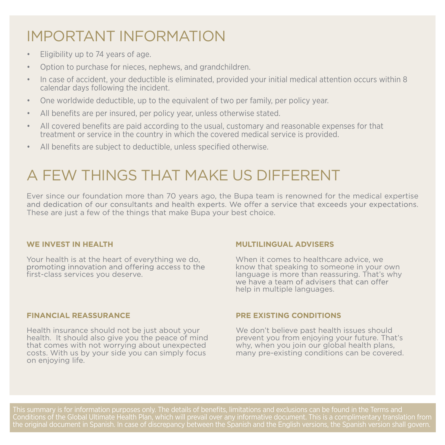# IMPORTANT INFORMATION

- Eligibility up to 74 years of age.
- Option to purchase for nieces, nephews, and grandchildren.
- In case of accident, your deductible is eliminated, provided your initial medical attention occurs within 8 calendar days following the incident.
- One worldwide deductible, up to the equivalent of two per family, per policy year.
- All benefits are per insured, per policy year, unless otherwise stated.
- All covered benefits are paid according to the usual, customary and reasonable expenses for that treatment or service in the country in which the covered medical service is provided.
- All benefits are subject to deductible, unless specified otherwise.

## A FEW THINGS THAT MAKE US DIFFERENT

Ever since our foundation more than 70 years ago, the Bupa team is renowned for the medical expertise and dedication of our consultants and health experts. We offer a service that exceeds your expectations. These are just a few of the things that make Bupa your best choice.

### **WE INVEST IN HEALTH**

Your health is at the heart of everything we do, promoting innovation and offering access to the first-class services you deserve.

### **MULTILINGUAL ADVISERS**

When it comes to healthcare advice, we know that speaking to someone in your own language is more than reassuring. That's why help in multiple languages.

#### **FINANCIAL REASSURANCE**

Health insurance should not be just about your health. It should also give you the peace of mind that comes with not worrying about unexpected costs. With us by your side you can simply focus on enjoying life.

### **PRE EXISTING CONDITIONS**

We don't believe past health issues should prevent you from enjoying your future. That's why, when you join our global health plans, many pre-existing conditions can be covered.